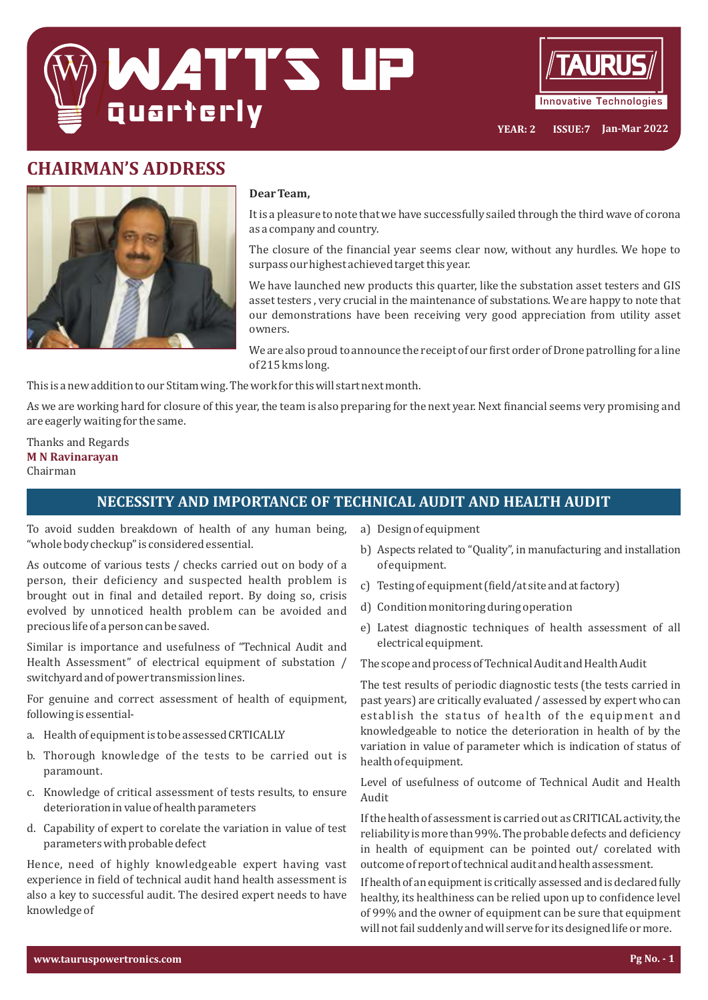



# **CHAIRMAN'S ADDRESS**



### **Dear Team,**

It is a pleasure to note that we have successfully sailed through the third wave of corona as a company and country.

The closure of the inancial year seems clear now, without any hurdles. We hope to surpass our highest achieved target this year.

We have launched new products this quarter, like the substation asset testers and GIS asset testers , very crucial in the maintenance of substations. We are happy to note that our demonstrations have been receiving very good appreciation from utility asset owners.

We are also proud to announce the receipt of our first order of Drone patrolling for a line of 215 kms long.

This is a new addition to our Stitam wing. The work for this will start next month.

As we are working hard for closure of this year, the team is also preparing for the next year. Next inancial seems very promising and are eagerly waiting for the same.

Thanks and Regards **M** N Ravinarayan Chairman

## **NECESSITY AND IMPORTANCE OF TECHNICAL AUDIT AND HEALTH AUDIT**

To avoid sudden breakdown of health of any human being, "whole body checkup" is considered essential.

As outcome of various tests / checks carried out on body of a person, their deficiency and suspected health problem is brought out in final and detailed report. By doing so, crisis evolved by unnoticed health problem can be avoided and precious life of a person can be saved.

Similar is importance and usefulness of "Technical Audit and Health Assessment" of electrical equipment of substation / switchyard and of power transmission lines.

For genuine and correct assessment of health of equipment, following is essential-

- a. Health of equipment is to be assessed CRTICALLY
- b. Thorough knowledge of the tests to be carried out is paramount.
- c. Knowledge of critical assessment of tests results, to ensure deterioration in value of health parameters
- d. Capability of expert to corelate the variation in value of test parameters with probable defect

Hence, need of highly knowledgeable expert having vast experience in field of technical audit hand health assessment is also a key to successful audit. The desired expert needs to have knowledge of

- a) Design of equipment
- b) Aspects related to "Quality", in manufacturing and installation of equipment.
- c) Testing of equipment (field/at site and at factory)
- d) Condition monitoring during operation
- e) Latest diagnostic techniques of health assessment of all electrical equipment.

The scope and process of Technical Audit and Health Audit

The test results of periodic diagnostic tests (the tests carried in past years) are critically evaluated / assessed by expert who can establish the status of health of the equipment and knowledgeable to notice the deterioration in health of by the variation in value of parameter which is indication of status of health of equipment.

Level of usefulness of outcome of Technical Audit and Health Audit

If the health of assessment is carried out as CRITICAL activity, the reliability is more than 99%. The probable defects and deficiency in health of equipment can be pointed out/ corelated with outcome of report of technical audit and health assessment.

If health of an equipment is critically assessed and is declared fully healthy, its healthiness can be relied upon up to confidence level of 99% and the owner of equipment can be sure that equipment will not fail suddenly and will serve for its designed life or more.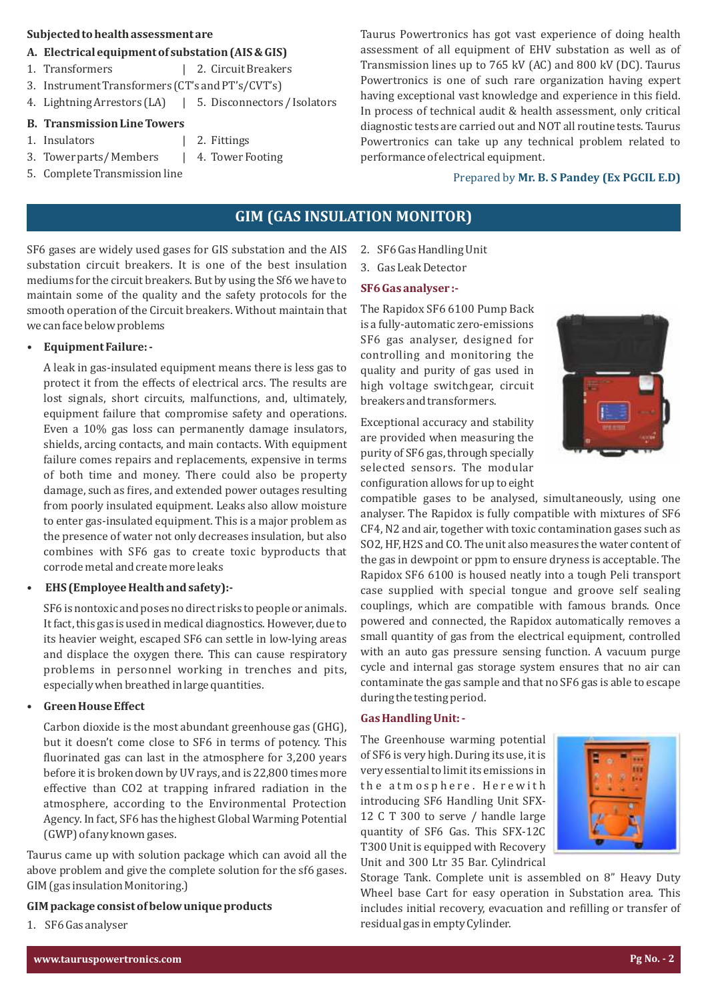#### **Subjected to health assessment are**

#### A. Electrical equipment of substation (AIS & GIS)

- 1. Transformers | 2. Circuit Breakers
- 3. Instrument Transformers (CT's and PT's/CVT's)
- 4. Lightning Arrestors (LA) | 5. Disconnectors / Isolators

#### **B. Transmission Line Towers**

- 1. Insulators | 2. Fittings
- 3. Tower parts/Members | 4. Tower Footing
- 5. Complete Transmission line

Taurus Powertronics has got vast experience of doing health assessment of all equipment of EHV substation as well as of Transmission lines up to 765 kV (AC) and 800 kV (DC). Taurus Powertronics is one of such rare organization having expert having exceptional vast knowledge and experience in this field. In process of technical audit & health assessment, only critical diagnostic tests are carried out and NOT all routine tests. Taurus Powertronics can take up any technical problem related to performance of electrical equipment.

## Prepared by Mr. B. S Pandey (Ex PGCIL E.D)

## **GIM (GAS INSULATION MONITOR)**

SF6 gases are widely used gases for GIS substation and the AIS substation circuit breakers. It is one of the best insulation mediums for the circuit breakers. But by using the Sf6 we have to maintain some of the quality and the safety protocols for the smooth operation of the Circuit breakers. Without maintain that we can face below problems

### **Equipment Failure:**

A leak in gas-insulated equipment means there is less gas to protect it from the effects of electrical arcs. The results are lost signals, short circuits, malfunctions, and, ultimately, equipment failure that compromise safety and operations. Even a 10% gas loss can permanently damage insulators, shields, arcing contacts, and main contacts. With equipment failure comes repairs and replacements, expensive in terms of both time and money. There could also be property damage, such as ires, and extended power outages resulting from poorly insulated equipment. Leaks also allow moisture to enter gas-insulated equipment. This is a major problem as the presence of water not only decreases insulation, but also combines with SF6 gas to create toxic byproducts that corrode metal and create more leaks

#### **EHS** (Employee Health and safety):-

SF6 is nontoxic and poses no direct risks to people or animals. It fact, this gas is used in medical diagnostics. However, due to its heavier weight, escaped SF6 can settle in low-lying areas and displace the oxygen there. This can cause respiratory problems in personnel working in trenches and pits, especially when breathed in large quantities.

#### **Green House Effect**

Carbon dioxide is the most abundant greenhouse gas (GHG), but it doesn't come close to SF6 in terms of potency. This fluorinated gas can last in the atmosphere for 3,200 years before it is broken down by UV rays, and is 22,800 times more effective than CO2 at trapping infrared radiation in the atmosphere, according to the Environmental Protection Agency. In fact, SF6 has the highest Global Warming Potential (GWP) of any known gases.

Taurus came up with solution package which can avoid all the above problem and give the complete solution for the sf6 gases. GIM (gas insulation Monitoring.)

### GIM package consist of below unique products

1. SF6 Gas analyser

2. SF6 Gas Handling Unit

# 3. Gas Leak Detector

### **SF6 Gas analyser :-**

The Rapidox SF6 6100 Pump Back is a fully-automatic zero-emissions SF6 gas analyser, designed for controlling and monitoring the quality and purity of gas used in high voltage switchgear, circuit breakers and transformers.

Exceptional accuracy and stability are provided when measuring the purity of SF6 gas, through specially selected sensors. The modular configuration allows for up to eight

compatible gases to be analysed, simultaneously, using one analyser. The Rapidox is fully compatible with mixtures of SF6 CF4, N2 and air, together with toxic contamination gases such as SO2, HF, H2S and CO. The unit also measures the water content of the gas in dewpoint or ppm to ensure dryness is acceptable. The Rapidox SF6 6100 is housed neatly into a tough Peli transport case supplied with special tongue and groove self sealing couplings, which are compatible with famous brands. Once powered and connected, the Rapidox automatically removes a small quantity of gas from the electrical equipment, controlled with an auto gas pressure sensing function. A vacuum purge cycle and internal gas storage system ensures that no air can contaminate the gas sample and that no SF6 gas is able to escape during the testing period.

#### Gas Handling Unit: -

The Greenhouse warming potential of SF6 is very high. During its use, it is very essential to limit its emissions in the atmosphere. Herewith introducing SF6 Handling Unit SFX-12 C T 300 to serve / handle large quantity of SF6 Gas. This SFX-12C T300 Unit is equipped with Recovery Unit and 300 Ltr 35 Bar. Cylindrical



Storage Tank. Complete unit is assembled on 8" Heavy Duty Wheel base Cart for easy operation in Substation area. This includes initial recovery, evacuation and refilling or transfer of residual gas in empty Cylinder.

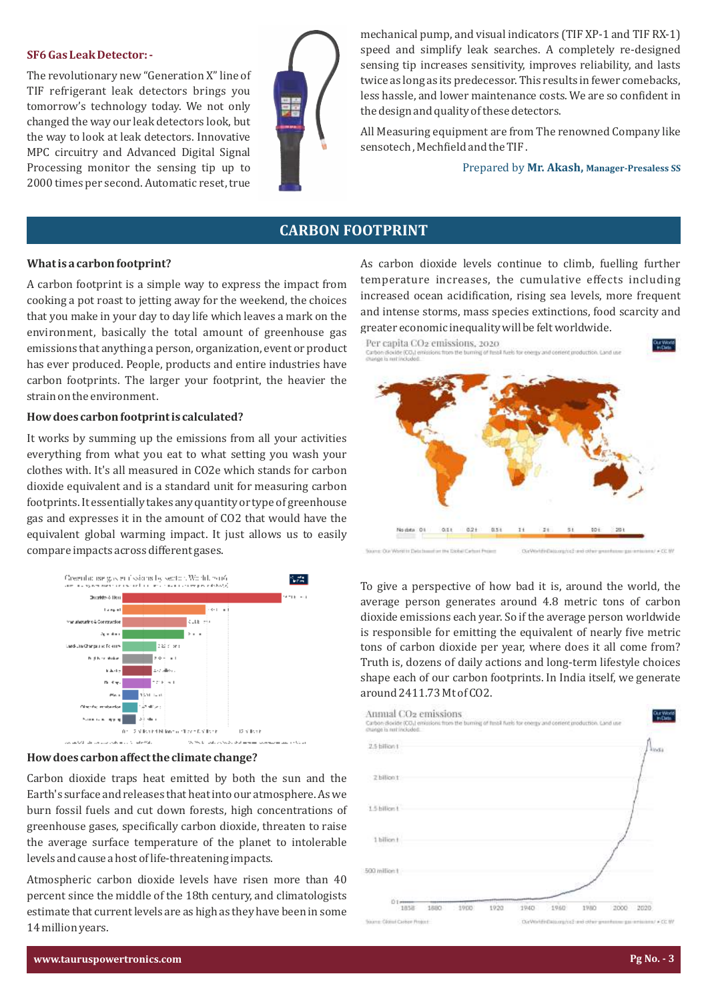#### **SF6 Gas Leak Detector: -**

The revolutionary new "Generation X" line of TIF refrigerant leak detectors brings you tomorrow's technology today. We not only changed the way our leak detectors look, but the way to look at leak detectors. Innovative MPC circuitry and Advanced Digital Signal Processing monitor the sensing tip up to 2000 times per second. Automatic reset, true



mechanical pump, and visual indicators (TIF XP-1 and TIF RX-1) speed and simplify leak searches. A completely re-designed sensing tip increases sensitivity, improves reliability, and lasts twice as long as its predecessor. This results in fewer comebacks, less hassle, and lower maintenance costs. We are so conident in the design and quality of these detectors.

All Measuring equipment are from The renowned Company like sensotech, Mechfield and the TIF.

Prepared by Mr. Akash, Manager-Presaless SS

## **CARBON FOOTPRINT**

#### **What is a carbon footprint?**

A carbon footprint is a simple way to express the impact from cooking a pot roast to jetting away for the weekend, the choices that you make in your day to day life which leaves a mark on the environment, basically the total amount of greenhouse gas emissions that anything a person, organization, event or product has ever produced. People, products and entire industries have carbon footprints. The larger your footprint, the heavier the strain on the environment.

#### **How does carbon footprint is calculated?**

It works by summing up the emissions from all your activities everything from what you eat to what setting you wash your clothes with. It's all measured in CO2e which stands for carbon dioxide equivalent and is a standard unit for measuring carbon footprints. It essentially takes any quantity or type of greenhouse gas and expresses it in the amount of CO2 that would have the equivalent global warming impact. It just allows us to easily compare impacts across different gases.



### **How does carbon affect the climate change?**

Carbon dioxide traps heat emitted by both the sun and the Earth's surface and releases that heat into our atmosphere. As we burn fossil fuels and cut down forests, high concentrations of greenhouse gases, specifically carbon dioxide, threaten to raise the average surface temperature of the planet to intolerable levels and cause a host of life-threatening impacts.

Atmospheric carbon dioxide levels have risen more than 40 percent since the middle of the 18th century, and climatologists estimate that current levels are as high as they have been in some 14 million years.

As carbon dioxide levels continue to climb, fuelling further temperature increases, the cumulative effects including increased ocean acidification, rising sea levels, more frequent and intense storms, mass species extinctions, food scarcity and greater economic inequality will be felt worldwide.



To give a perspective of how bad it is, around the world, the average person generates around 4.8 metric tons of carbon dioxide emissions each year. So if the average person worldwide is responsible for emitting the equivalent of nearly five metric tons of carbon dioxide per year, where does it all come from? Truth is, dozens of daily actions and long-term lifestyle choices shape each of our carbon footprints. In India itself, we generate around 2411.73 Mt of CO2.

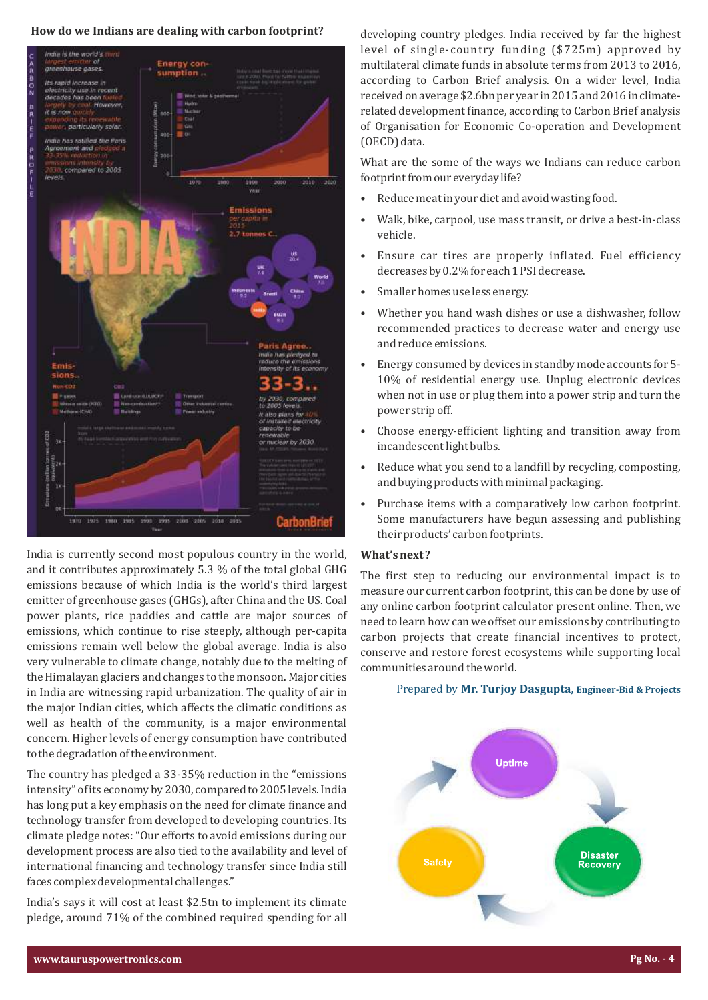#### How do we Indians are dealing with carbon footprint?



India is currently second most populous country in the world, and it contributes approximately 5.3 % of the total global GHG emissions because of which India is the world's third largest emitter of greenhouse gases (GHGs), after China and the US. Coal power plants, rice paddies and cattle are major sources of emissions, which continue to rise steeply, although per-capita emissions remain well below the global average. India is also very vulnerable to climate change, notably due to the melting of the Himalayan glaciers and changes to the monsoon. Major cities in India are witnessing rapid urbanization. The quality of air in the major Indian cities, which affects the climatic conditions as well as health of the community, is a major environmental concern. Higher levels of energy consumption have contributed to the degradation of the environment.

The country has pledged a 33-35% reduction in the "emissions intensity" of its economy by 2030, compared to 2005 levels. India has long put a key emphasis on the need for climate finance and technology transfer from developed to developing countries. Its climate pledge notes: "Our efforts to avoid emissions during our development process are also tied to the availability and level of international financing and technology transfer since India still faces complex developmental challenges."

India's says it will cost at least \$2.5tn to implement its climate pledge, around 71% of the combined required spending for all

developing country pledges. India received by far the highest level of single-country funding (\$725m) approved by multilateral climate funds in absolute terms from 2013 to 2016, according to Carbon Brief analysis. On a wider level, India received on average \$2.6bn per year in 2015 and 2016 in climaterelated development inance, according to Carbon Brief analysis of Organisation for Economic Co-operation and Development (OECD) data.

What are the some of the ways we Indians can reduce carbon footprint from our everyday life?

- Reduce meat in your diet and avoid wasting food.
- Walk, bike, carpool, use mass transit, or drive a best-in-class vehicle.
- Ensure car tires are properly inflated. Fuel efficiency decreases by 0.2% for each 1 PSI decrease.
- Smaller homes use less energy.
- Whether you hand wash dishes or use a dishwasher, follow recommended practices to decrease water and energy use and reduce emissions.
- Energy consumed by devices in standby mode accounts for 5- 10% of residential energy use. Unplug electronic devices when not in use or plug them into a power strip and turn the power strip off.
- Choose energy-eficient lighting and transition away from incandescent light bulbs.
- Reduce what you send to a landill by recycling, composting, and buying products with minimal packaging.
- Purchase items with a comparatively low carbon footprint. Some manufacturers have begun assessing and publishing their products' carbon footprints.

#### **What's next?**

The first step to reducing our environmental impact is to measure our current carbon footprint, this can be done by use of any online carbon footprint calculator present online. Then, we need to learn how can we offset our emissions by contributing to carbon projects that create inancial incentives to protect, conserve and restore forest ecosystems while supporting local communities around the world.

#### Prepared by **Mr. Turjoy Dasgupta, Engineer-Bid & Projects**

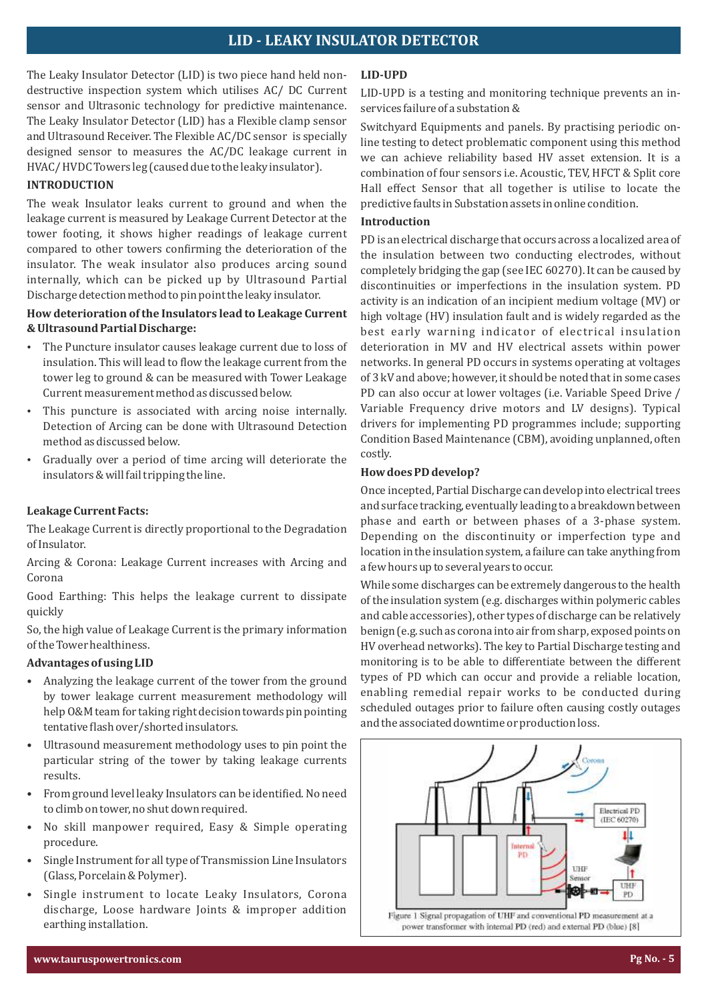## **LID - LEAKY INSULATOR DETECTOR**

The Leaky Insulator Detector (LID) is two piece hand held nondestructive inspection system which utilises AC/ DC Current sensor and Ultrasonic technology for predictive maintenance. The Leaky Insulator Detector (LID) has a Flexible clamp sensor and Ultrasound Receiver. The Flexible AC/DC sensor is specially designed sensor to measures the AC/DC leakage current in HVAC/ HVDC Towers leg (caused due to the leaky insulator).

#### **INTRODUCTION**

The weak Insulator leaks current to ground and when the leakage current is measured by Leakage Current Detector at the tower footing, it shows higher readings of leakage current compared to other towers conirming the deterioration of the insulator. The weak insulator also produces arcing sound internally, which can be picked up by Ultrasound Partial Discharge detection method to pin point the leaky insulator.

## How deterioration of the Insulators lead to Leakage Current  $&$  Ultrasound Partial Discharge:

- The Puncture insulator causes leakage current due to loss of insulation. This will lead to flow the leakage current from the tower leg to ground & can be measured with Tower Leakage Current measurement method as discussed below.
- This puncture is associated with arcing noise internally. Detection of Arcing can be done with Ultrasound Detection method as discussed below.
- Gradually over a period of time arcing will deteriorate the insulators & will fail tripping the line.

#### Leakage Current Facts:

The Leakage Current is directly proportional to the Degradation of Insulator.

Arcing & Corona: Leakage Current increases with Arcing and Corona

Good Earthing: This helps the leakage current to dissipate quickly

So, the high value of Leakage Current is the primary information of the Tower healthiness.

#### Advantages of using LID

- Analyzing the leakage current of the tower from the ground by tower leakage current measurement methodology will help O&M team for taking right decision towards pin pointing tentative flash over/shorted insulators.
- Ultrasound measurement methodology uses to pin point the particular string of the tower by taking leakage currents results.
- From ground level leaky Insulators can be identified. No need to climb on tower, no shut down required.
- No skill manpower required, Easy & Simple operating procedure.
- Single Instrument for all type of Transmission Line Insulators (Glass, Porcelain & Polymer).
- Single instrument to locate Leaky Insulators, Corona discharge, Loose hardware Joints & improper addition earthing installation.

#### **LID-UPD**

LID-UPD is a testing and monitoring technique prevents an inservices failure of a substation &

Switchyard Equipments and panels. By practising periodic online testing to detect problematic component using this method we can achieve reliability based HV asset extension. It is a combination of four sensors i.e. Acoustic, TEV, HFCT & Split core Hall effect Sensor that all together is utilise to locate the predictive faults in Substation assets in online condition.

### **Introduction**

PD is an electrical discharge that occurs across a localized area of the insulation between two conducting electrodes, without completely bridging the gap (see IEC 60270). It can be caused by discontinuities or imperfections in the insulation system. PD activity is an indication of an incipient medium voltage (MV) or high voltage (HV) insulation fault and is widely regarded as the best early warning indicator of electrical insulation deterioration in MV and HV electrical assets within power networks. In general PD occurs in systems operating at voltages of 3 kV and above; however, it should be noted that in some cases PD can also occur at lower voltages (i.e. Variable Speed Drive / Variable Frequency drive motors and LV designs). Typical drivers for implementing PD programmes include; supporting Condition Based Maintenance (CBM), avoiding unplanned, often costly.

#### **How does PD develop?**

Once incepted, Partial Discharge can develop into electrical trees and surface tracking, eventually leading to a breakdown between phase and earth or between phases of a 3-phase system. Depending on the discontinuity or imperfection type and location in the insulation system, a failure can take anything from a few hours up to several years to occur.

While some discharges can be extremely dangerous to the health of the insulation system (e.g. discharges within polymeric cables and cable accessories), other types of discharge can be relatively benign (e.g. such as corona into air from sharp, exposed points on HV overhead networks). The key to Partial Discharge testing and monitoring is to be able to differentiate between the different types of PD which can occur and provide a reliable location, enabling remedial repair works to be conducted during scheduled outages prior to failure often causing costly outages and the associated downtime or production loss.